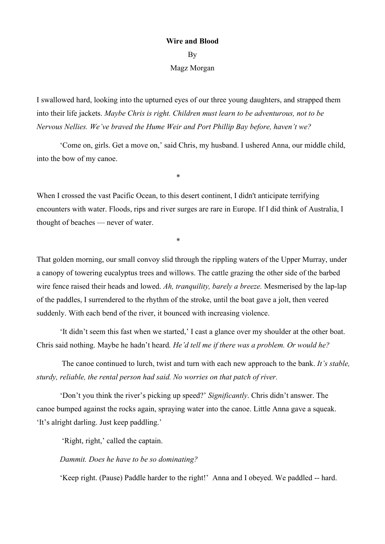## **Wire and Blood** By

## Magz Morgan

I swallowed hard, looking into the upturned eyes of our three young daughters, and strapped them into their life jackets. *Maybe Chris is right. Children must learn to be adventurous, not to be Nervous Nellies. We've braved the Hume Weir and Port Phillip Bay before, haven't we?*

'Come on, girls. Get a move on,' said Chris, my husband. I ushered Anna, our middle child, into the bow of my canoe.

 $*$ 

When I crossed the vast Pacific Ocean, to this desert continent. I didn't anticipate terrifying encounters with water. Floods, rips and river surges are rare in Europe. If I did think of Australia, I thought of beaches — never of water.

 $*$ 

That golden morning, our small convoy slid through the rippling waters of the Upper Murray, under a canopy of towering eucalyptus trees and willows. The cattle grazing the other side of the barbed wire fence raised their heads and lowed. *Ah, tranquility, barely a breeze.* Mesmerised by the lap-lap of the paddles, I surrendered to the rhythm of the stroke, until the boat gave a jolt, then veered suddenly. With each bend of the river, it bounced with increasing violence.

'It didn't seem this fast when we started,' I cast a glance over my shoulder at the other boat. Chris said nothing. Maybe he hadn't heard*. He'd tell me if there was a problem. Or would he?*

The canoe continued to lurch, twist and turn with each new approach to the bank. *It's stable, sturdy, reliable, the rental person had said. No worries on that patch of river.*

'Don't you think the river's picking up speed?' *Significantly*. Chris didn't answer. The canoe bumped against the rocks again, spraying water into the canoe. Little Anna gave a squeak. 'It's alright darling. Just keep paddling.'

'Right, right,' called the captain.

## *Dammit. Does he have to be so dominating?*

'Keep right. (Pause) Paddle harder to the right!' Anna and I obeyed. We paddled -- hard.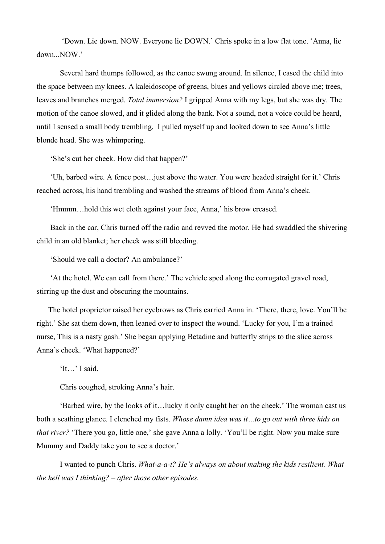'Down. Lie down. NOW. Everyone lie DOWN.' Chris spoke in a low flat tone. 'Anna, lie down...NOW.'

Several hard thumps followed, as the canoe swung around. In silence, I eased the child into the space between my knees. A kaleidoscope of greens, blues and yellows circled above me; trees, leaves and branches merged. *Total immersion?* I gripped Anna with my legs, but she was dry. The motion of the canoe slowed, and it glided along the bank. Not a sound, not a voice could be heard, until I sensed a small body trembling. I pulled myself up and looked down to see Anna's little blonde head. She was whimpering.

'She's cut her cheek. How did that happen?'

'Uh, barbed wire. A fence post…just above the water. You were headed straight for it.' Chris reached across, his hand trembling and washed the streams of blood from Anna's cheek.

'Hmmm…hold this wet cloth against your face, Anna,' his brow creased.

Back in the car, Chris turned off the radio and revved the motor. He had swaddled the shivering child in an old blanket; her cheek was still bleeding.

'Should we call a doctor? An ambulance?'

'At the hotel. We can call from there.' The vehicle sped along the corrugated gravel road, stirring up the dust and obscuring the mountains.

The hotel proprietor raised her eyebrows as Chris carried Anna in. 'There, there, love. You'll be right.' She sat them down, then leaned over to inspect the wound. 'Lucky for you, I'm a trained nurse, This is a nasty gash.' She began applying Betadine and butterfly strips to the slice across Anna's cheek. 'What happened?'

'It…' I said.

Chris coughed, stroking Anna's hair.

'Barbed wire, by the looks of it... lucky it only caught her on the cheek.' The woman cast us both a scathing glance. I clenched my fists. *Whose damn idea was it…to go out with three kids on that river?* 'There you go, little one,' she gave Anna a lolly. 'You'll be right. Now you make sure Mummy and Daddy take you to see a doctor.'

I wanted to punch Chris. *What-a-a-t? He'salways on about making the kids resilient. What the hell was I thinking? – after those other episodes.*